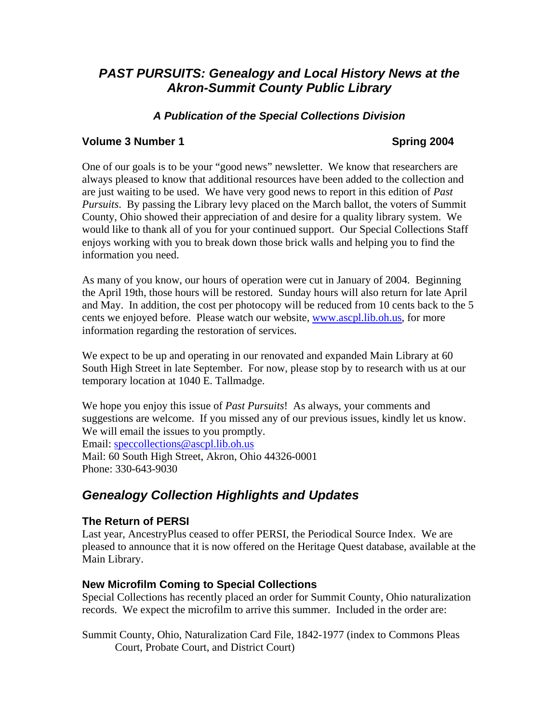# *PAST PURSUITS: Genealogy and Local History News at the Akron-Summit County Public Library*

# *A Publication of the Special Collections Division*

### **Volume 3 Number 1 Spring 2004**

One of our goals is to be your "good news" newsletter. We know that researchers are always pleased to know that additional resources have been added to the collection and are just waiting to be used. We have very good news to report in this edition of *Past Pursuits*. By passing the Library levy placed on the March ballot, the voters of Summit County, Ohio showed their appreciation of and desire for a quality library system. We would like to thank all of you for your continued support. Our Special Collections Staff enjoys working with you to break down those brick walls and helping you to find the information you need.

As many of you know, our hours of operation were cut in January of 2004. Beginning the April 19th, those hours will be restored. Sunday hours will also return for late April and May. In addition, the cost per photocopy will be reduced from 10 cents back to the 5 cents we enjoyed before. Please watch our website, [www.ascpl.lib.oh.us](http://www.ascpl.lib.oh.us/), for more information regarding the restoration of services.

We expect to be up and operating in our renovated and expanded Main Library at 60 South High Street in late September. For now, please stop by to research with us at our temporary location at 1040 E. Tallmadge.

We hope you enjoy this issue of *Past Pursuits*! As always, your comments and suggestions are welcome. If you missed any of our previous issues, kindly let us know. We will email the issues to you promptly. Email: speccollections@ascpl.lib.oh.us Mail: 60 South High Street, Akron, Ohio 44326-0001 Phone: 330-643-9030

# *Genealogy Collection Highlights and Updates*

### **The Return of PERSI**

Last year, AncestryPlus ceased to offer PERSI, the Periodical Source Index. We are pleased to announce that it is now offered on the Heritage Quest database, available at the Main Library.

### **New Microfilm Coming to Special Collections**

Special Collections has recently placed an order for Summit County, Ohio naturalization records. We expect the microfilm to arrive this summer. Included in the order are:

Summit County, Ohio, Naturalization Card File, 1842-1977 (index to Commons Pleas Court, Probate Court, and District Court)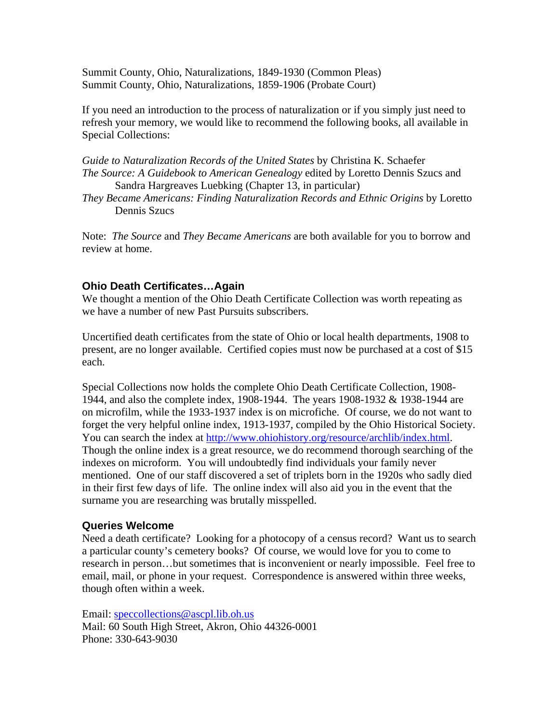Summit County, Ohio, Naturalizations, 1849-1930 (Common Pleas) Summit County, Ohio, Naturalizations, 1859-1906 (Probate Court)

If you need an introduction to the process of naturalization or if you simply just need to refresh your memory, we would like to recommend the following books, all available in Special Collections:

*Guide to Naturalization Records of the United States* by Christina K. Schaefer *The Source: A Guidebook to American Genealogy* edited by Loretto Dennis Szucs and Sandra Hargreaves Luebking (Chapter 13, in particular)

*They Became Americans: Finding Naturalization Records and Ethnic Origins* by Loretto Dennis Szucs

Note: *The Source* and *They Became Americans* are both available for you to borrow and review at home.

### **Ohio Death Certificates…Again**

We thought a mention of the Ohio Death Certificate Collection was worth repeating as we have a number of new Past Pursuits subscribers.

Uncertified death certificates from the state of Ohio or local health departments, 1908 to present, are no longer available. Certified copies must now be purchased at a cost of \$15 each.

Special Collections now holds the complete Ohio Death Certificate Collection, 1908- 1944, and also the complete index, 1908-1944. The years 1908-1932 & 1938-1944 are on microfilm, while the 1933-1937 index is on microfiche. Of course, we do not want to forget the very helpful online index, 1913-1937, compiled by the Ohio Historical Society. You can search the index at [http://www.ohiohistory.org/resource/archlib/index.html.](http://www.ohiohistory.org/resource/archlib/index.html) Though the online index is a great resource, we do recommend thorough searching of the indexes on microform. You will undoubtedly find individuals your family never mentioned. One of our staff discovered a set of triplets born in the 1920s who sadly died in their first few days of life. The online index will also aid you in the event that the surname you are researching was brutally misspelled.

### **Queries Welcome**

Need a death certificate? Looking for a photocopy of a census record? Want us to search a particular county's cemetery books? Of course, we would love for you to come to research in person…but sometimes that is inconvenient or nearly impossible. Feel free to email, mail, or phone in your request. Correspondence is answered within three weeks, though often within a week.

Email: speccollections@ascpl.lib.oh.us Mail: 60 South High Street, Akron, Ohio 44326-0001 Phone: 330-643-9030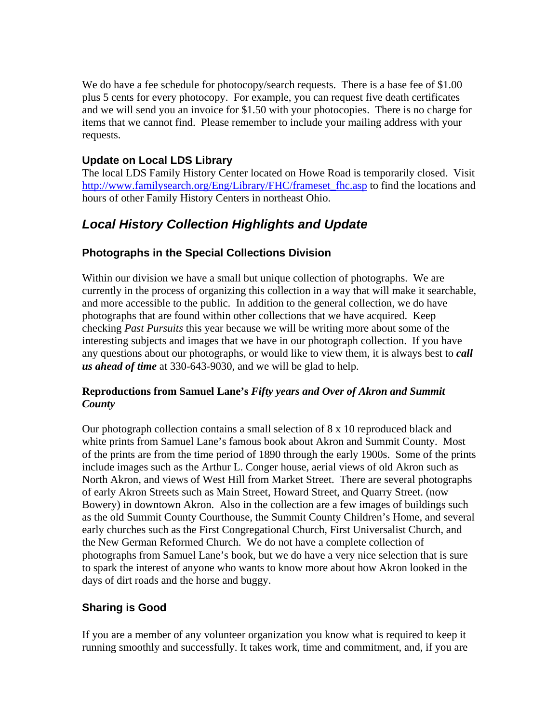We do have a fee schedule for photocopy/search requests. There is a base fee of \$1.00 plus 5 cents for every photocopy. For example, you can request five death certificates and we will send you an invoice for \$1.50 with your photocopies. There is no charge for items that we cannot find. Please remember to include your mailing address with your requests.

## **Update on Local LDS Library**

The local LDS Family History Center located on Howe Road is temporarily closed. Visit [http://www.familysearch.org/Eng/Library/FHC/frameset\\_fhc.asp](http://www.familysearch.org/Eng/Library/FHC/frameset_fhc.asp) to find the locations and hours of other Family History Centers in northeast Ohio.

# *Local History Collection Highlights and Update*

# **Photographs in the Special Collections Division**

Within our division we have a small but unique collection of photographs. We are currently in the process of organizing this collection in a way that will make it searchable, and more accessible to the public. In addition to the general collection, we do have photographs that are found within other collections that we have acquired. Keep checking *Past Pursuits* this year because we will be writing more about some of the interesting subjects and images that we have in our photograph collection. If you have any questions about our photographs, or would like to view them, it is always best to *call us ahead of time* at 330-643-9030, and we will be glad to help.

### **Reproductions from Samuel Lane's** *Fifty years and Over of Akron and Summit County*

Our photograph collection contains a small selection of 8 x 10 reproduced black and white prints from Samuel Lane's famous book about Akron and Summit County. Most of the prints are from the time period of 1890 through the early 1900s. Some of the prints include images such as the Arthur L. Conger house, aerial views of old Akron such as North Akron, and views of West Hill from Market Street. There are several photographs of early Akron Streets such as Main Street, Howard Street, and Quarry Street. (now Bowery) in downtown Akron. Also in the collection are a few images of buildings such as the old Summit County Courthouse, the Summit County Children's Home, and several early churches such as the First Congregational Church, First Universalist Church, and the New German Reformed Church. We do not have a complete collection of photographs from Samuel Lane's book, but we do have a very nice selection that is sure to spark the interest of anyone who wants to know more about how Akron looked in the days of dirt roads and the horse and buggy.

# **Sharing is Good**

If you are a member of any volunteer organization you know what is required to keep it running smoothly and successfully. It takes work, time and commitment, and, if you are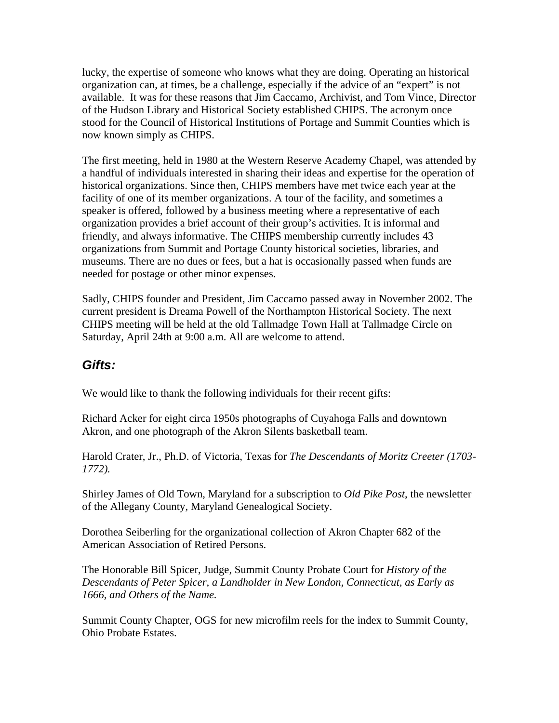lucky, the expertise of someone who knows what they are doing. Operating an historical organization can, at times, be a challenge, especially if the advice of an "expert" is not available. It was for these reasons that Jim Caccamo, Archivist, and Tom Vince, Director of the Hudson Library and Historical Society established CHIPS. The acronym once stood for the Council of Historical Institutions of Portage and Summit Counties which is now known simply as CHIPS.

The first meeting, held in 1980 at the Western Reserve Academy Chapel, was attended by a handful of individuals interested in sharing their ideas and expertise for the operation of historical organizations. Since then, CHIPS members have met twice each year at the facility of one of its member organizations. A tour of the facility, and sometimes a speaker is offered, followed by a business meeting where a representative of each organization provides a brief account of their group's activities. It is informal and friendly, and always informative. The CHIPS membership currently includes 43 organizations from Summit and Portage County historical societies, libraries, and museums. There are no dues or fees, but a hat is occasionally passed when funds are needed for postage or other minor expenses.

Sadly, CHIPS founder and President, Jim Caccamo passed away in November 2002. The current president is Dreama Powell of the Northampton Historical Society. The next CHIPS meeting will be held at the old Tallmadge Town Hall at Tallmadge Circle on Saturday, April 24th at 9:00 a.m. All are welcome to attend.

# *Gifts:*

We would like to thank the following individuals for their recent gifts:

Richard Acker for eight circa 1950s photographs of Cuyahoga Falls and downtown Akron, and one photograph of the Akron Silents basketball team.

Harold Crater, Jr., Ph.D. of Victoria, Texas for *The Descendants of Moritz Creeter (1703- 1772).* 

Shirley James of Old Town, Maryland for a subscription to *Old Pike Post*, the newsletter of the Allegany County, Maryland Genealogical Society.

Dorothea Seiberling for the organizational collection of Akron Chapter 682 of the American Association of Retired Persons.

The Honorable Bill Spicer, Judge, Summit County Probate Court for *History of the Descendants of Peter Spicer, a Landholder in New London, Connecticut, as Early as 1666, and Others of the Name.* 

Summit County Chapter, OGS for new microfilm reels for the index to Summit County, Ohio Probate Estates.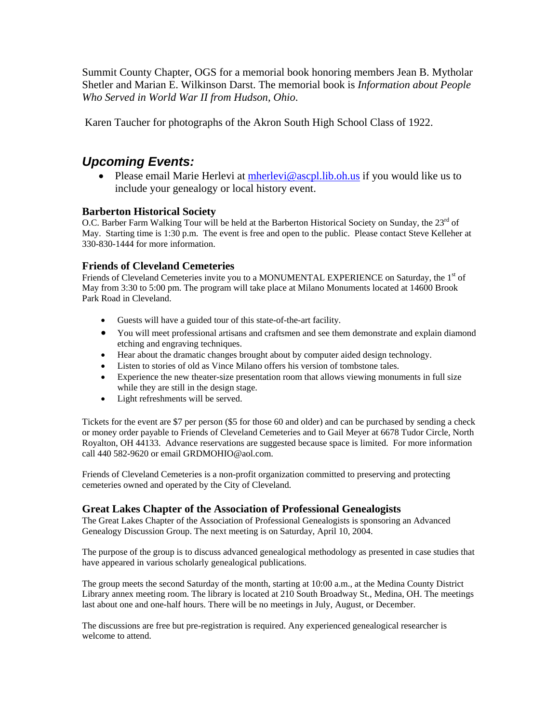Summit County Chapter, OGS for a memorial book honoring members Jean B. Mytholar Shetler and Marian E. Wilkinson Darst. The memorial book is *Information about People Who Served in World War II from Hudson, Ohio*.

Karen Taucher for photographs of the Akron South High School Class of 1922.

# *Upcoming Events:*

• Please email Marie Herlevi at [mherlevi@ascpl.lib.oh.us](mailto:mherlevi@ascpl.lib.oh.us) if you would like us to include your genealogy or local history event.

### **Barberton Historical Society**

O.C. Barber Farm Walking Tour will be held at the Barberton Historical Society on Sunday, the 23<sup>rd</sup> of May. Starting time is 1:30 p.m. The event is free and open to the public. Please contact Steve Kelleher at 330-830-1444 for more information.

### **Friends of Cleveland Cemeteries**

Friends of Cleveland Cemeteries invite you to a MONUMENTAL EXPERIENCE on Saturday, the 1<sup>st</sup> of May from 3:30 to 5:00 pm. The program will take place at Milano Monuments located at 14600 Brook Park Road in Cleveland.

- Guests will have a guided tour of this state-of-the-art facility.
- You will meet professional artisans and craftsmen and see them demonstrate and explain diamond etching and engraving techniques.
- Hear about the dramatic changes brought about by computer aided design technology.
- Listen to stories of old as Vince Milano offers his version of tombstone tales.
- Experience the new theater-size presentation room that allows viewing monuments in full size while they are still in the design stage.
- Light refreshments will be served.

Tickets for the event are \$7 per person (\$5 for those 60 and older) and can be purchased by sending a check or money order payable to Friends of Cleveland Cemeteries and to Gail Meyer at 6678 Tudor Circle, North Royalton, OH 44133. Advance reservations are suggested because space is limited. For more information call 440 582-9620 or email GRDMOHIO@aol.com.

Friends of Cleveland Cemeteries is a non-profit organization committed to preserving and protecting cemeteries owned and operated by the City of Cleveland.

### **Great Lakes Chapter of the Association of Professional Genealogists**

The Great Lakes Chapter of the Association of Professional Genealogists is sponsoring an Advanced Genealogy Discussion Group. The next meeting is on Saturday, April 10, 2004.

The purpose of the group is to discuss advanced genealogical methodology as presented in case studies that have appeared in various scholarly genealogical publications.

The group meets the second Saturday of the month, starting at 10:00 a.m., at the Medina County District Library annex meeting room. The library is located at 210 South Broadway St., Medina, OH. The meetings last about one and one-half hours. There will be no meetings in July, August, or December.

The discussions are free but pre-registration is required. Any experienced genealogical researcher is welcome to attend.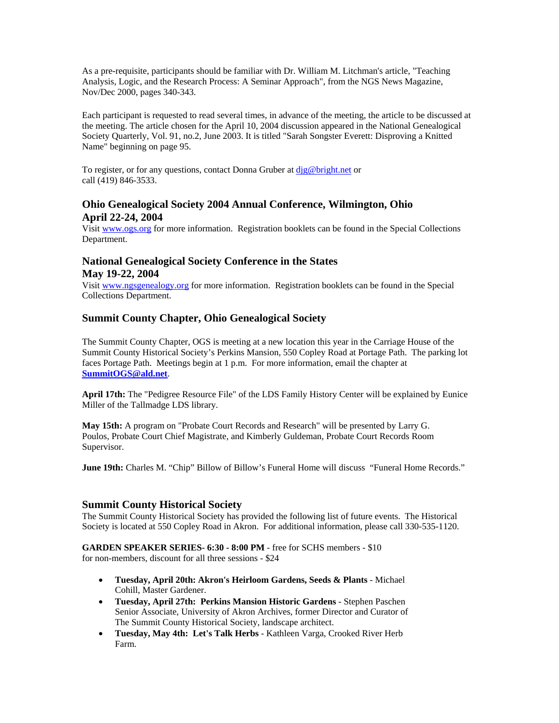As a pre-requisite, participants should be familiar with Dr. William M. Litchman's article, "Teaching Analysis, Logic, and the Research Process: A Seminar Approach", from the NGS News Magazine, Nov/Dec 2000, pages 340-343.

Each participant is requested to read several times, in advance of the meeting, the article to be discussed at the meeting. The article chosen for the April 10, 2004 discussion appeared in the National Genealogical Society Quarterly, Vol. 91, no.2, June 2003. It is titled "Sarah Songster Everett: Disproving a Knitted Name" beginning on page 95.

To register, or for any questions, contact Donna Gruber at dig@bright.net or call (419) 846-3533.

### **Ohio Genealogical Society 2004 Annual Conference, Wilmington, Ohio April 22-24, 2004**

Visit [www.ogs.org](http://www.ogs.org/) for more information. Registration booklets can be found in the Special Collections Department.

### **National Genealogical Society Conference in the States May 19-22, 2004**

Visit [www.ngsgenealogy.org](http://www.ngsgenealogy.org/) for more information. Registration booklets can be found in the Special Collections Department.

### **Summit County Chapter, Ohio Genealogical Society**

The Summit County Chapter, OGS is meeting at a new location this year in the Carriage House of the Summit County Historical Society's Perkins Mansion, 550 Copley Road at Portage Path. The parking lot faces Portage Path. Meetings begin at 1 p.m. For more information, email the chapter at **[SummitOGS@ald.net](mailto:SummitOGS@ald.net)**.

**April 17th:** The "Pedigree Resource File" of the LDS Family History Center will be explained by Eunice Miller of the Tallmadge LDS library.

**May 15th:** A program on "Probate Court Records and Research" will be presented by Larry G. Poulos, Probate Court Chief Magistrate, and Kimberly Guldeman, Probate Court Records Room Supervisor.

**June 19th:** Charles M. "Chip" Billow of Billow's Funeral Home will discuss "Funeral Home Records."

### **Summit County Historical Society**

The Summit County Historical Society has provided the following list of future events. The Historical Society is located at 550 Copley Road in Akron. For additional information, please call 330-535-1120.

**GARDEN SPEAKER SERIES- 6:30 - 8:00 PM** - free for SCHS members - \$10

for non-members, discount for all three sessions - \$24

- **Tuesday, April 20th: Akron's Heirloom Gardens, Seeds & Plants** Michael Cohill, Master Gardener.
- **Tuesday, April 27th: Perkins Mansion Historic Gardens** Stephen Paschen Senior Associate, University of Akron Archives, former Director and Curator of The Summit County Historical Society, landscape architect.
- **Tuesday, May 4th: Let's Talk Herbs** Kathleen Varga, Crooked River Herb Farm.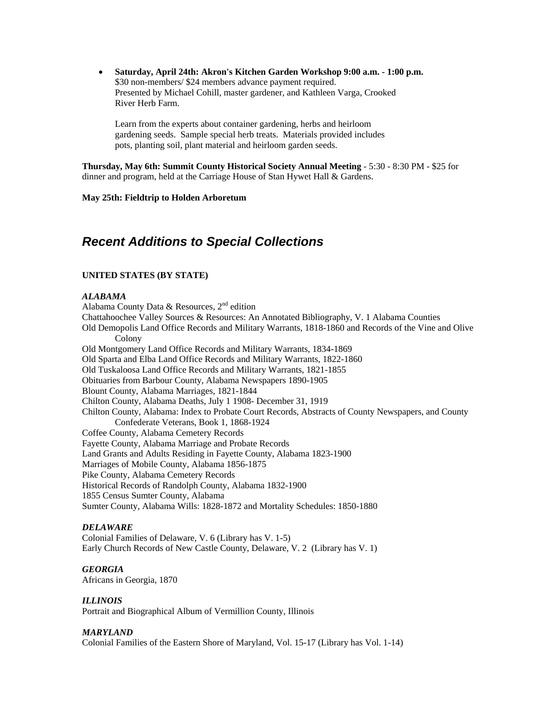• **Saturday, April 24th: Akron's Kitchen Garden Workshop 9:00 a.m. - 1:00 p.m.**  \$30 non-members/ \$24 members advance payment required. Presented by Michael Cohill, master gardener, and Kathleen Varga, Crooked River Herb Farm.

Learn from the experts about container gardening, herbs and heirloom gardening seeds. Sample special herb treats. Materials provided includes pots, planting soil, plant material and heirloom garden seeds.

**Thursday, May 6th: Summit County Historical Society Annual Meeting** - 5:30 - 8:30 PM - \$25 for dinner and program, held at the Carriage House of Stan Hywet Hall & Gardens.

#### **May 25th: Fieldtrip to Holden Arboretum**

# *Recent Additions to Special Collections*

#### **UNITED STATES (BY STATE)**

#### *ALABAMA*

Alabama County Data & Resources,  $2<sup>nd</sup>$  edition Chattahoochee Valley Sources & Resources: An Annotated Bibliography, V. 1 Alabama Counties Old Demopolis Land Office Records and Military Warrants, 1818-1860 and Records of the Vine and Olive Colony Old Montgomery Land Office Records and Military Warrants, 1834-1869 Old Sparta and Elba Land Office Records and Military Warrants, 1822-1860 Old Tuskaloosa Land Office Records and Military Warrants, 1821-1855 Obituaries from Barbour County, Alabama Newspapers 1890-1905 Blount County, Alabama Marriages, 1821-1844 Chilton County, Alabama Deaths, July 1 1908- December 31, 1919 Chilton County, Alabama: Index to Probate Court Records, Abstracts of County Newspapers, and County Confederate Veterans, Book 1, 1868-1924 Coffee County, Alabama Cemetery Records Fayette County, Alabama Marriage and Probate Records Land Grants and Adults Residing in Fayette County, Alabama 1823-1900 Marriages of Mobile County, Alabama 1856-1875 Pike County, Alabama Cemetery Records Historical Records of Randolph County, Alabama 1832-1900 1855 Census Sumter County, Alabama Sumter County, Alabama Wills: 1828-1872 and Mortality Schedules: 1850-1880

#### *DELAWARE*

Colonial Families of Delaware, V. 6 (Library has V. 1-5) Early Church Records of New Castle County, Delaware, V. 2 (Library has V. 1)

#### *GEORGIA*

Africans in Georgia, 1870

#### *ILLINOIS*

Portrait and Biographical Album of Vermillion County, Illinois

#### *MARYLAND*

Colonial Families of the Eastern Shore of Maryland, Vol. 15-17 (Library has Vol. 1-14)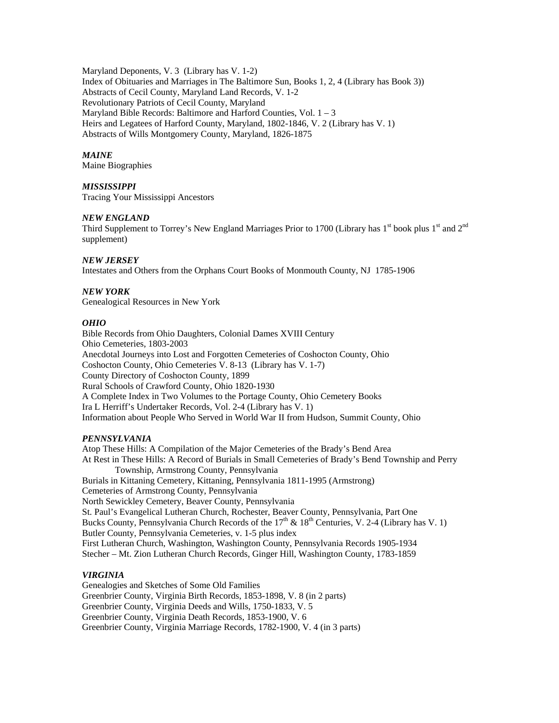Maryland Deponents, V. 3 (Library has V. 1-2) Index of Obituaries and Marriages in The Baltimore Sun, Books 1, 2, 4 (Library has Book 3)) Abstracts of Cecil County, Maryland Land Records, V. 1-2 Revolutionary Patriots of Cecil County, Maryland Maryland Bible Records: Baltimore and Harford Counties, Vol.  $1 - 3$ Heirs and Legatees of Harford County, Maryland, 1802-1846, V. 2 (Library has V. 1) Abstracts of Wills Montgomery County, Maryland, 1826-1875

#### *MAINE*

Maine Biographies

### *MISSISSIPPI*

Tracing Your Mississippi Ancestors

#### *NEW ENGLAND*

Third Supplement to Torrey's New England Marriages Prior to 1700 (Library has  $1<sup>st</sup>$  book plus  $1<sup>st</sup>$  and  $2<sup>nd</sup>$ supplement)

#### *NEW JERSEY*

Intestates and Others from the Orphans Court Books of Monmouth County, NJ 1785-1906

#### *NEW YORK*

Genealogical Resources in New York

#### *OHIO*

Bible Records from Ohio Daughters, Colonial Dames XVIII Century Ohio Cemeteries, 1803-2003 Anecdotal Journeys into Lost and Forgotten Cemeteries of Coshocton County, Ohio Coshocton County, Ohio Cemeteries V. 8-13 (Library has V. 1-7) County Directory of Coshocton County, 1899 Rural Schools of Crawford County, Ohio 1820-1930 A Complete Index in Two Volumes to the Portage County, Ohio Cemetery Books Ira L Herriff's Undertaker Records, Vol. 2-4 (Library has V. 1) Information about People Who Served in World War II from Hudson, Summit County, Ohio

#### *PENNSYLVANIA*

Atop These Hills: A Compilation of the Major Cemeteries of the Brady's Bend Area At Rest in These Hills: A Record of Burials in Small Cemeteries of Brady's Bend Township and Perry Township, Armstrong County, Pennsylvania Burials in Kittaning Cemetery, Kittaning, Pennsylvania 1811-1995 (Armstrong) Cemeteries of Armstrong County, Pennsylvania North Sewickley Cemetery, Beaver County, Pennsylvania St. Paul's Evangelical Lutheran Church, Rochester, Beaver County, Pennsylvania, Part One Bucks County, Pennsylvania Church Records of the  $17<sup>th</sup>$  &  $18<sup>th</sup>$  Centuries, V. 2-4 (Library has V. 1) Butler County, Pennsylvania Cemeteries, v. 1-5 plus index First Lutheran Church, Washington, Washington County, Pennsylvania Records 1905-1934 Stecher – Mt. Zion Lutheran Church Records, Ginger Hill, Washington County, 1783-1859

#### *VIRGINIA*

Genealogies and Sketches of Some Old Families Greenbrier County, Virginia Birth Records, 1853-1898, V. 8 (in 2 parts) Greenbrier County, Virginia Deeds and Wills, 1750-1833, V. 5 Greenbrier County, Virginia Death Records, 1853-1900, V. 6 Greenbrier County, Virginia Marriage Records, 1782-1900, V. 4 (in 3 parts)